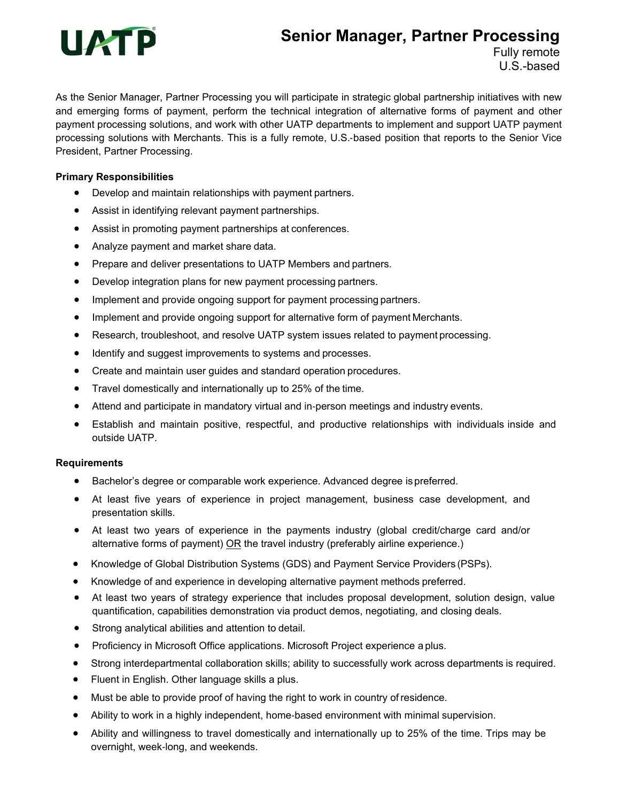# **UATP**

## **Senior Manager, Partner Processing**

Fully remote U.S.-based

As the Senior Manager, Partner Processing you will participate in strategic global partnership initiatives with new and emerging forms of payment, perform the technical integration of alternative forms of payment and other payment processing solutions, and work with other UATP departments to implement and support UATP payment processing solutions with Merchants. This is a fully remote, U.S.-based position that reports to the Senior Vice President, Partner Processing.

#### **Primary Responsibilities**

- Develop and maintain relationships with payment partners.
- Assist in identifying relevant payment partnerships.
- Assist in promoting payment partnerships at conferences.
- Analyze payment and market share data.
- Prepare and deliver presentations to UATP Members and partners.
- Develop integration plans for new payment processing partners.
- Implement and provide ongoing support for payment processing partners.
- Implement and provide ongoing support for alternative form of payment Merchants.
- Research, troubleshoot, and resolve UATP system issues related to payment processing.
- $\bullet$  Identify and suggest improvements to systems and processes.
- Create and maintain user guides and standard operation procedures.
- Travel domestically and internationally up to 25% of the time.
- Attend and participate in mandatory virtual and in-person meetings and industry events.
- Establish and maintain positive, respectful, and productive relationships with individuals inside and outside UATP.

#### **Requirements**

- Bachelor's degree or comparable work experience. Advanced degree is preferred.
- At least five years of experience in project management, business case development, and presentation skills.
- At least two years of experience in the payments industry (global credit/charge card and/or alternative forms of payment) OR the travel industry (preferably airline experience.)
- Knowledge of Global Distribution Systems (GDS) and Payment Service Providers (PSPs).
- Knowledge of and experience in developing alternative payment methods preferred.
- At least two years of strategy experience that includes proposal development, solution design, value quantification, capabilities demonstration via product demos, negotiating, and closing deals.
- Strong analytical abilities and attention to detail.
- **•** Proficiency in Microsoft Office applications. Microsoft Project experience a plus.
- Strong interdepartmental collaboration skills; ability to successfully work across departments is required.
- Fluent in English. Other language skills a plus.
- Must be able to provide proof of having the right to work in country of residence.
- Ability to work in a highly independent, home-based environment with minimal supervision.
- Ability and willingness to travel domestically and internationally up to 25% of the time. Trips may be overnight, week-long, and weekends.